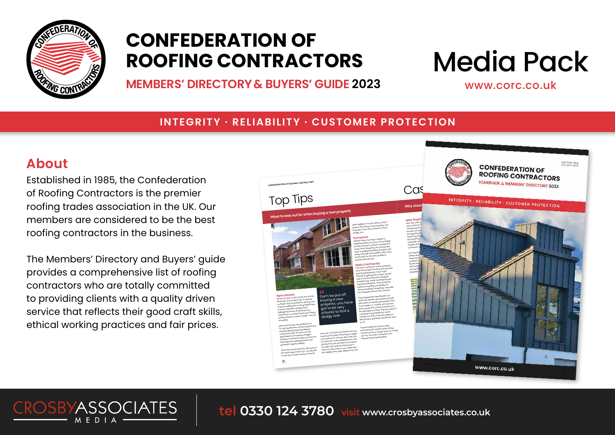

### **CONFEDERATION OF ROOFING CONTRACTORS**

**MEMBERS' DIRECTORY & BUYERS' GUIDE 2023**

# Media Pack

www.corc.co.uk

#### **INTEGRITY · RELIABILITY · CUSTOMER PROTECTION**

### **About**

Established in 1985, the Confederation of Roofing Contractors is the premier roofing trades association in the UK. Our members are considered to be the best roofing contractors in the business.

The Members' Directory and Buyers' guide provides a comprehensive list of roofing contractors who are totally committed to providing clients with a quality driven service that reflects their good craft skills, ethical working practices and fair prices.

**CROSBYASSOCIATES** 



**tel 0330 124 3780 visit www.crosbyassociates.co.uk**